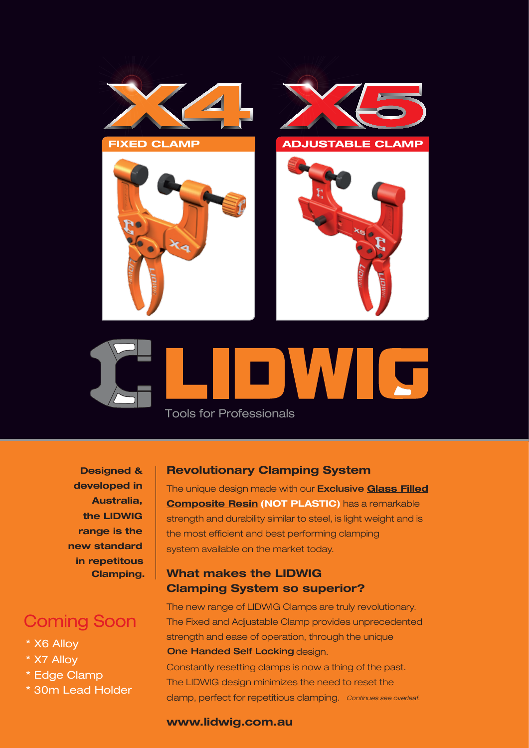



**Designed & developed in Australia, the LIDWIG range is the new standard in repetitous Clamping.**

# Coming Soon

- \* X6 Alloy
- \* X7 Alloy
- \* Edge Clamp
- \* 30m Lead Holder

### **Revolutionary Clamping System**

The unique design made with our Exclusive **Glass Filled Composite Resin (NOT PLASTIC)** has a remarkable strength and durability similar to steel, is light weight and is the most efficient and best performing clamping system available on the market today.

## **What makes the LIDWIG Clamping System so superior?**

The new range of LIDWIG Clamps are truly revolutionary. The Fixed and Adjustable Clamp provides unprecedented strength and ease of operation, through the unique **One Handed Self Locking design.** 

Constantly resetting clamps is now a thing of the past. The LIDWIG design minimizes the need to reset the clamp, perfect for repetitious clamping. *Continues see overleaf.*

#### **www.lidwig.com.au**